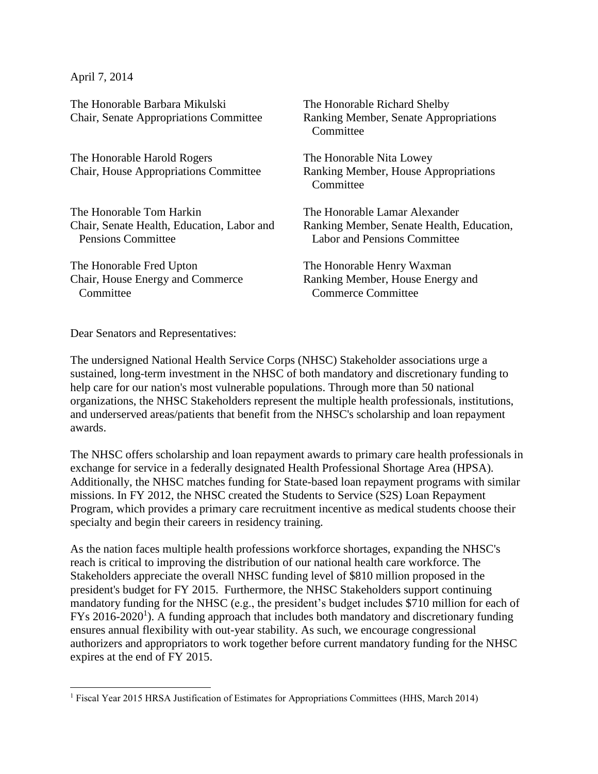April 7, 2014

 $\overline{\phantom{a}}$ 

The Honorable Barbara Mikulski Chair, Senate Appropriations Committee

The Honorable Harold Rogers Chair, House Appropriations Committee

The Honorable Tom Harkin Chair, Senate Health, Education, Labor and Pensions Committee

The Honorable Fred Upton Chair, House Energy and Commerce **Committee** 

The Honorable Richard Shelby Ranking Member, Senate Appropriations **Committee** 

The Honorable Nita Lowey Ranking Member, House Appropriations Committee

The Honorable Lamar Alexander Ranking Member, Senate Health, Education, Labor and Pensions Committee

The Honorable Henry Waxman Ranking Member, House Energy and Commerce Committee

Dear Senators and Representatives:

The undersigned National Health Service Corps (NHSC) Stakeholder associations urge a sustained, long-term investment in the NHSC of both mandatory and discretionary funding to help care for our nation's most vulnerable populations. Through more than 50 national organizations, the NHSC Stakeholders represent the multiple health professionals, institutions, and underserved areas/patients that benefit from the NHSC's scholarship and loan repayment awards.

The NHSC offers scholarship and loan repayment awards to primary care health professionals in exchange for service in a federally designated Health Professional Shortage Area (HPSA). Additionally, the NHSC matches funding for State-based loan repayment programs with similar missions. In FY 2012, the NHSC created the Students to Service (S2S) Loan Repayment Program, which provides a primary care recruitment incentive as medical students choose their specialty and begin their careers in residency training.

As the nation faces multiple health professions workforce shortages, expanding the NHSC's reach is critical to improving the distribution of our national health care workforce. The Stakeholders appreciate the overall NHSC funding level of \$810 million proposed in the president's budget for FY 2015. Furthermore, the NHSC Stakeholders support continuing mandatory funding for the NHSC (e.g., the president's budget includes \$710 million for each of FYs 2016-2020<sup>1</sup>). A funding approach that includes both mandatory and discretionary funding ensures annual flexibility with out-year stability. As such, we encourage congressional authorizers and appropriators to work together before current mandatory funding for the NHSC expires at the end of FY 2015.

<sup>&</sup>lt;sup>1</sup> Fiscal Year 2015 HRSA Justification of Estimates for Appropriations Committees (HHS, March 2014)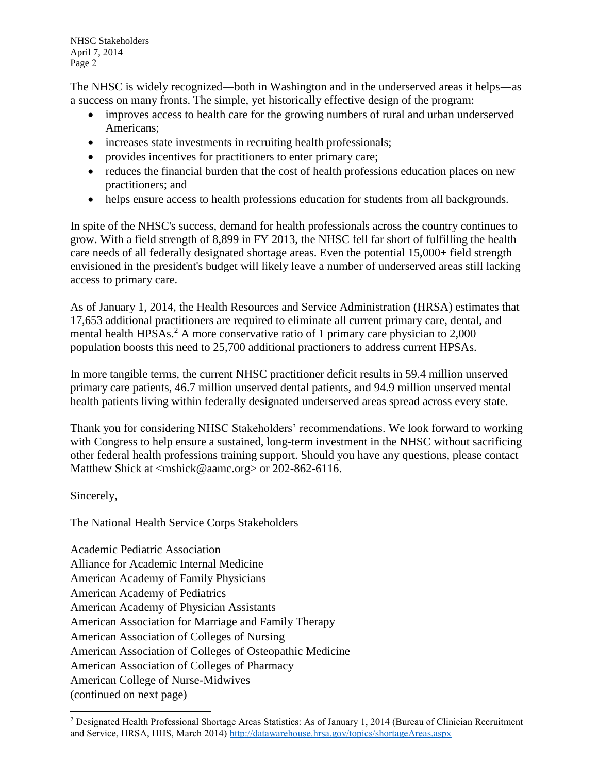NHSC Stakeholders April 7, 2014 Page 2

The NHSC is widely recognized―both in Washington and in the underserved areas it helps―as a success on many fronts. The simple, yet historically effective design of the program:

- improves access to health care for the growing numbers of rural and urban underserved Americans;
- increases state investments in recruiting health professionals;
- provides incentives for practitioners to enter primary care;
- reduces the financial burden that the cost of health professions education places on new practitioners; and
- helps ensure access to health professions education for students from all backgrounds.

In spite of the NHSC's success, demand for health professionals across the country continues to grow. With a field strength of 8,899 in FY 2013, the NHSC fell far short of fulfilling the health care needs of all federally designated shortage areas. Even the potential 15,000+ field strength envisioned in the president's budget will likely leave a number of underserved areas still lacking access to primary care.

As of January 1, 2014, the Health Resources and Service Administration (HRSA) estimates that 17,653 additional practitioners are required to eliminate all current primary care, dental, and mental health HPSAs.<sup>2</sup> A more conservative ratio of 1 primary care physician to 2,000 population boosts this need to 25,700 additional practioners to address current HPSAs.

In more tangible terms, the current NHSC practitioner deficit results in 59.4 million unserved primary care patients, 46.7 million unserved dental patients, and 94.9 million unserved mental health patients living within federally designated underserved areas spread across every state.

Thank you for considering NHSC Stakeholders' recommendations. We look forward to working with Congress to help ensure a sustained, long-term investment in the NHSC without sacrificing other federal health professions training support. Should you have any questions, please contact Matthew Shick at <mshick@aamc.org> or 202-862-6116.

Sincerely,

l

The National Health Service Corps Stakeholders

Academic Pediatric Association Alliance for Academic Internal Medicine American Academy of Family Physicians American Academy of Pediatrics American Academy of Physician Assistants American Association for Marriage and Family Therapy American Association of Colleges of Nursing American Association of Colleges of Osteopathic Medicine American Association of Colleges of Pharmacy American College of Nurse-Midwives (continued on next page)

<sup>2</sup> Designated Health Professional Shortage Areas Statistics: As of January 1, 2014 (Bureau of Clinician Recruitment and Service, HRSA, HHS, March 2014)<http://datawarehouse.hrsa.gov/topics/shortageAreas.aspx>